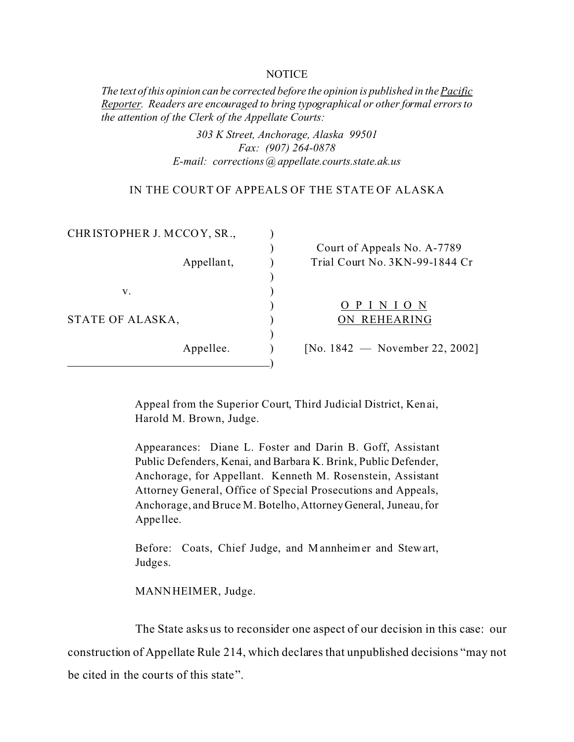#### **NOTICE**

*The text of this opinion can be corrected before the opinion is published in the Pacific Reporter. Readers are encouraged to bring typographical or other formal errors to the attention of the Clerk of the Appellate Courts:* 

> *303 K Street, Anchorage, Alaska 99501 Fax: (907) 264-0878 E-mail: corrections@appellate.courts.state.ak.us*

### IN THE COURT OF APPEALS OF THE STATE OF ALASKA

| CHRISTOPHER J. MCCOY, SR., |                                |
|----------------------------|--------------------------------|
|                            | Court of Appeals No. A-7789    |
| Appellant,                 | Trial Court No. 3KN-99-1844 Cr |
|                            |                                |
| v.                         |                                |
|                            | OPINION                        |
| STATE OF ALASKA,           | ON REHEARING                   |
|                            |                                |
| Appellee.                  | [No. 1842 — November 22, 2002] |
|                            |                                |

Appeal from the Superior Court, Third Judicial District, Kenai, Harold M. Brown, Judge.

Appearances: Diane L. Foster and Darin B. Goff, Assistant Public Defenders, Kenai, and Barbara K. Brink, Public Defender, Anchorage, for Appellant. Kenneth M. Rosenstein, Assistant Attorney General, Office of Special Prosecutions and Appeals, Anchorage, and Bruce M. Botelho, Attorney General, Juneau, for Appe llee.

Before: Coats, Chief Judge, and Mannheimer and Stewart, Judges.

MANNHEIMER, Judge.

The State asks us to reconsider one aspect of our decision in this case: our

construction of Appellate Rule 214, which declares that unpublished decisions "may not

be cited in the courts of this state".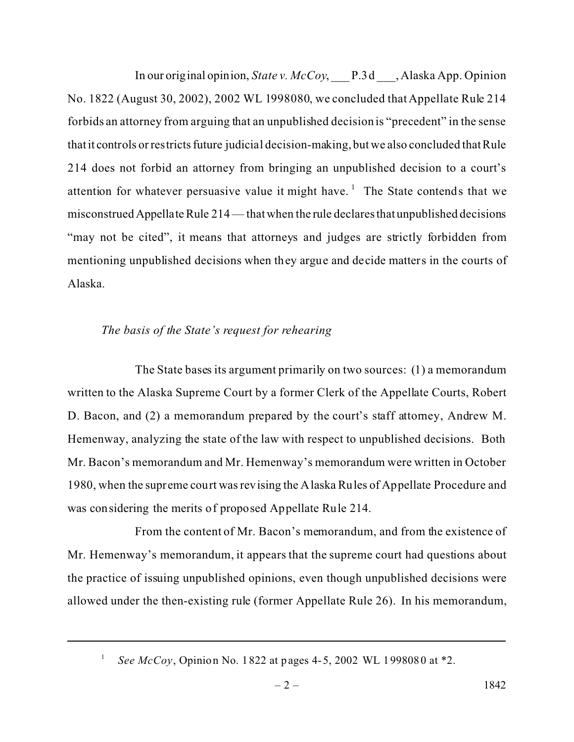In our original opinion, *State v. McCoy*, \_\_\_ P.3d \_\_\_, Alaska App. Opinion No. 1822 (August 30, 2002), 2002 WL 1998080, we concluded that Appellate Rule 214 forbids an attorney from arguing that an unpublished decision is "precedent" in the sense that it controls or restricts future judicial decision-making, but we also concluded that Rule 214 does not forbid an attorney from bringing an unpublished decision to a court's attention for whatever persuasive value it might have.<sup>1</sup> The State contends that we misconstrued Appellate Rule 214 — that when the rule declares that unpublished decisions "may not be cited", it means that attorneys and judges are strictly forbidden from mentioning unpublished decisions when they argue and decide matters in the courts of Alaska.

# *The basis of the State's request for rehearing*

The State bases its argument primarily on two sources: (1) a memorandum written to the Alaska Supreme Court by a former Clerk of the Appellate Courts, Robert D. Bacon, and (2) a memorandum prepared by the court's staff attorney, Andrew M. Hemenway, analyzing the state of the law with respect to unpublished decisions. Both Mr. Bacon's memorandum and Mr. Hemenway's memorandum were written in October 1980, when the supreme court was revising the Alaska Rules of Appellate Procedure and was considering the merits of proposed Appellate Rule 214.

From the content of Mr. Bacon's memorandum, and from the existence of Mr. Hemenway's memorandum, it appears that the supreme court had questions about the practice of issuing unpublished opinions, even though unpublished decisions were allowed under the then-existing rule (former Appellate Rule 26). In his memorandum,

1

*See McCoy*, Opinion No. 1822 at pages 4-5, 2002 WL 1998080 at \*2.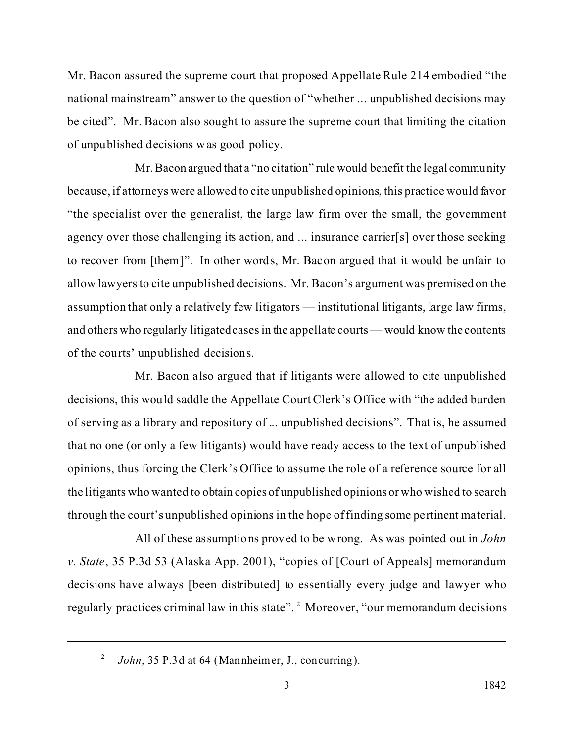Mr. Bacon assured the supreme court that proposed Appellate Rule 214 embodied "the national mainstream" answer to the question of "whether ... unpublished decisions may be cited". Mr. Bacon also sought to assure the supreme court that limiting the citation of unpublished decisions was good policy.

Mr.Bacon argued that a "no citation" rule would benefit the legal community because, if attorneys were allowed to cite unpublished opinions, this practice would favor "the specialist over the generalist, the large law firm over the small, the government agency over those challenging its action, and ... insurance carrier[s] over those seeking to recover from [them]". In other words, Mr. Bacon argued that it would be unfair to allow lawyers to cite unpublished decisions. Mr. Bacon's argument was premised on the assumption that only a relatively few litigators — institutional litigants, large law firms, and otherswho regularly litigated cases in the appellate courts— would know the contents of the courts' unpublished decisions.

Mr. Bacon also argued that if litigants were allowed to cite unpublished decisions, this would saddle the Appellate Court Clerk's Office with "the added burden of serving as a library and repository of ... unpublished decisions". That is, he assumed that no one (or only a few litigants) would have ready access to the text of unpublished opinions, thus forcing the Clerk's Office to assume the role of a reference source for all the litigants who wanted to obtain copies of unpublished opinionsor who wished to search through the court's unpublished opinions in the hope of finding some pertinent material.

All of these assumptions proved to be wrong. As was pointed out in *John v. State*, 35 P.3d 53 (Alaska App. 2001), "copies of [Court of Appeals] memorandum decisions have always [been distributed] to essentially every judge and lawyer who regularly practices criminal law in this state". <sup>2</sup> Moreover, "our memorandum decisions

<sup>2</sup> *John*, 35 P.3d at 64 (Mannheimer, J., concurring).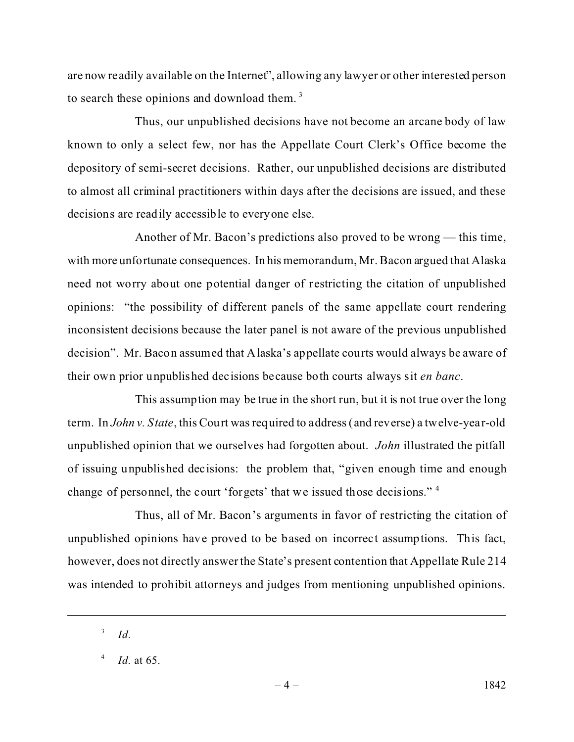are now readily available on the Internet", allowing any lawyer or other interested person to search these opinions and download them.<sup>3</sup>

Thus, our unpublished decisions have not become an arcane body of law known to only a select few, nor has the Appellate Court Clerk's Office become the depository of semi-secret decisions. Rather, our unpublished decisions are distributed to almost all criminal practitioners within days after the decisions are issued, and these decisions are readily accessible to everyone else.

Another of Mr. Bacon's predictions also proved to be wrong — this time, with more unfortunate consequences. In his memorandum, Mr. Bacon argued that Alaska need not worry about one potential danger of restricting the citation of unpublished opinions: "the possibility of different panels of the same appellate court rendering inconsistent decisions because the later panel is not aware of the previous unpublished decision". Mr. Bacon assumed that Alaska's appellate courts would always be aware of their own prior unpublished decisions because both courts always sit *en banc*.

This assumption may be true in the short run, but it is not true over the long term. In *John v. State*, this Court was required to address (and reverse) a twelve-year-old unpublished opinion that we ourselves had forgotten about. *John* illustrated the pitfall of issuing unpublished decisions: the problem that, "given enough time and enough change of personnel, the court 'forgets' that we issued those decisions."<sup>4</sup>

Thus, all of Mr. Bacon's arguments in favor of restricting the citation of unpublished opinions have proved to be based on incorrect assumptions. This fact, however, does not directly answer the State's present contention that Appellate Rule 214 was intended to prohibit attorneys and judges from mentioning unpublished opinions.

<sup>3</sup> *Id.*

<sup>4</sup> *Id.* at 65.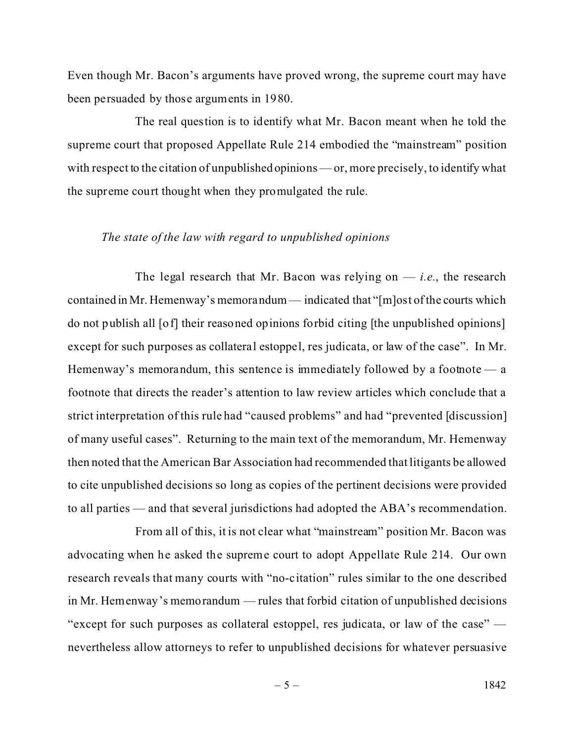Even though Mr. Bacon's arguments have proved wrong, the supreme court may have been persuaded by those arguments in 1980.

The real question is to identify what Mr. Bacon meant when he told the supreme court that proposed Appellate Rule 214 embodied the "mainstream" position with respect to the citation of unpublished opinions — or, more precisely, to identify what the supreme court thought when they promulgated the rule.

## *The state of the law with regard to unpublished opinions*

The legal research that Mr. Bacon was relying on  $-$  *i.e.*, the research contained in Mr. Hemenway's memorandum — indicated that "[m]ost of the courts which do not publish all [of] their reasoned opinions forbid citing [the unpublished opinions] except for such purposes as collateral estoppel, res judicata, or law of the case". In Mr. Hemenway's memorandum, this sentence is immediately followed by a footnote — a footnote that directs the reader's attention to law review articles which conclude that a strict interpretation of this rule had "caused problems" and had "prevented [discussion] of many useful cases". Returning to the main text of the memorandum, Mr. Hemenway then noted that the American Bar Association had recommended that litigants be allowed to cite unpublished decisions so long as copies of the pertinent decisions were provided to all parties — and that several jurisdictions had adopted the ABA's recommendation.

From all of this, it is not clear what "mainstream" position Mr. Bacon was advocating when he asked the supreme court to adopt Appellate Rule 214. Our own research reveals that many courts with "no-citation" rules similar to the one described in Mr. Hemenway's memorandum — rules that forbid citation of unpublished decisions "except for such purposes as collateral estoppel, res judicata, or law of the case" nevertheless allow attorneys to refer to unpublished decisions for whatever persuasive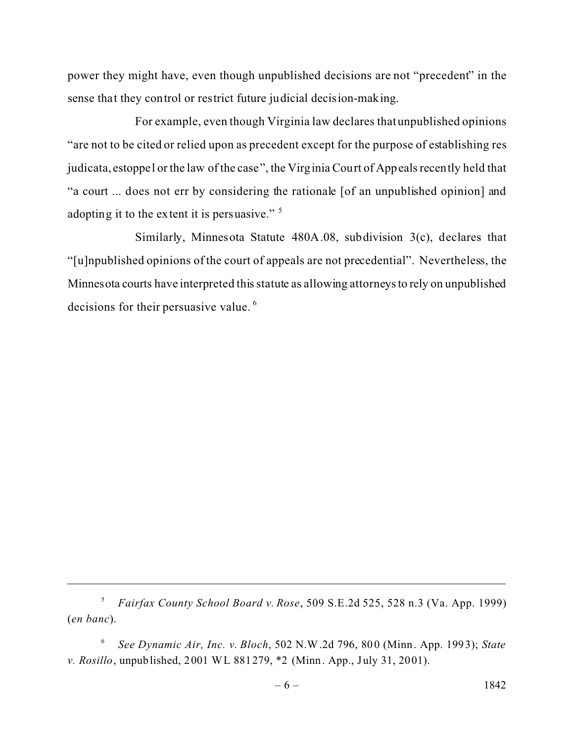power they might have, even though unpublished decisions are not "precedent" in the sense that they control or restrict future judicial decision-making.

For example, even though Virginia law declares that unpublished opinions "are not to be cited or relied upon as precedent except for the purpose of establishing res judicata, estoppel or the law of the case", the Virginia Court of Appeals recently held that "a court ... does not err by considering the rationale [of an unpublished opinion] and adopting it to the extent it is persuasive."<sup>5</sup>

Similarly, Minnesota Statute 480A.08, subdivision 3(c), declares that "[u]npublished opinions of the court of appeals are not precedential". Nevertheless, the Minnesota courts have interpreted this statute as allowing attorneysto rely on unpublished decisions for their persuasive value. <sup>6</sup>

<sup>5</sup> *Fairfax County School Board v. Rose*, 509 S.E.2d 525, 528 n.3 (Va. App. 1999) (*en banc*).

<sup>6</sup> *See Dynamic Air, Inc. v. Bloch*, 502 N.W.2d 796, 800 (Minn. App. 1993); *State v. Rosillo*, unpublished, 2001 WL 881279, \*2 (Minn. App., July 31, 2001).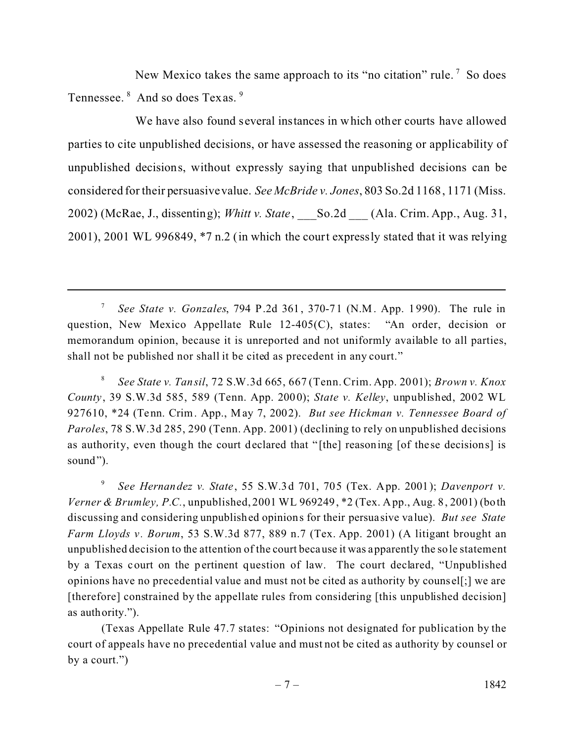New Mexico takes the same approach to its "no citation" rule.<sup>7</sup> So does Tennessee. <sup>8</sup> And so does Texas. <sup>9</sup>

We have also found several instances in which other courts have allowed parties to cite unpublished decisions, or have assessed the reasoning or applicability of unpublished decisions, without expressly saying that unpublished decisions can be considered for their persuasivevalue. *See McBride v. Jones*, 803 So.2d 1168, 1171 (Miss. 2002) (McRae, J., dissenting); *Whitt v. State*, \_\_\_So.2d \_\_\_ (Ala. Crim. App., Aug. 31, 2001), 2001 WL 996849, \*7 n.2 (in which the court expressly stated that it was relying

8 *See State v. Tansil*, 72 S.W.3d 665, 667 (Tenn. Crim. App. 2001); *Brown v. Knox County*, 39 S.W.3d 585, 589 (Tenn. App. 2000); *State v. Kelley*, unpublished, 2002 WL 927610, \*24 (Tenn. Crim. App., M ay 7, 2002). *But see Hickman v. Tennessee Board of Paroles*, 78 S.W.3d 285, 290 (Tenn. App. 2001) (declining to rely on unpublished decisions as authority, even though the court declared that "[the] reasoning [of these decisions] is sound").

9 *See Hernandez v. State*, 55 S.W.3d 701, 705 (Tex. App. 2001); *Davenport v. Verner & Brumley, P.C.*, unpublished, 2001 WL 969249, \*2 (Tex. App., Aug. 8, 2001) (both discussing and considering unpublished opinions for their persuasive value). *But see State Farm Lloyds v. Borum*, 53 S.W.3d 877, 889 n.7 (Tex. App. 2001) (A litigant brought an unpublished decision to the attention of the court because it was apparently the sole statement by a Texas court on the pertinent question of law. The court declared, "Unpublished opinions have no precedential value and must not be cited as authority by counsel[;] we are [therefore] constrained by the appellate rules from considering [this unpublished decision] as authority.").

(Texas Appellate Rule 47.7 states: "Opinions not designated for publication by the court of appeals have no precedential value and must not be cited as authority by counsel or by a court.")

<sup>7</sup> *See State v. Gonzales*, 794 P.2d 361, 370-71 (N.M. App. 1 990). The rule in question, New Mexico Appellate Rule 12-405(C), states: "An order, decision or memorandum opinion, because it is unreported and not uniformly available to all parties, shall not be published nor shall it be cited as precedent in any court."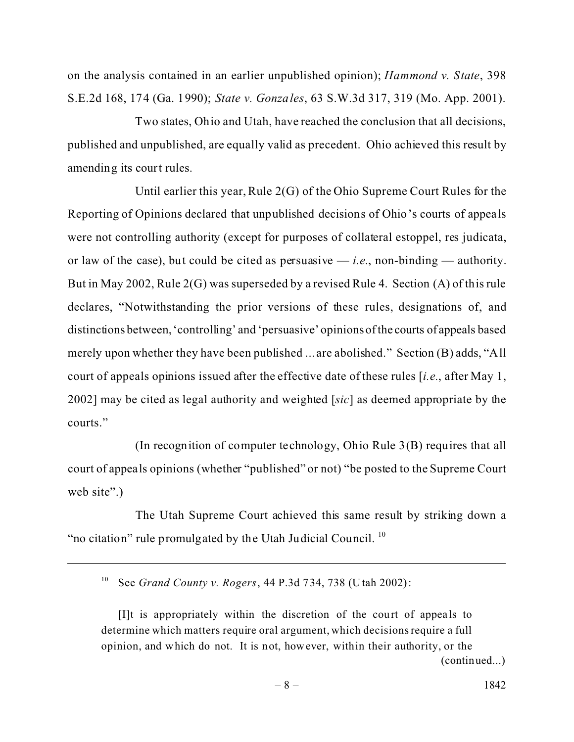on the analysis contained in an earlier unpublished opinion); *Hammond v. State*, 398 S.E.2d 168, 174 (Ga. 1990); *State v. Gonzales*, 63 S.W.3d 317, 319 (Mo. App. 2001).

Two states, Ohio and Utah, have reached the conclusion that all decisions, published and unpublished, are equally valid as precedent. Ohio achieved this result by amending its court rules.

Until earlier this year, Rule 2(G) of the Ohio Supreme Court Rules for the Reporting of Opinions declared that unpublished decisions of Ohio's courts of appeals were not controlling authority (except for purposes of collateral estoppel, res judicata, or law of the case), but could be cited as persuasive  $-$  *i.e.*, non-binding  $-$  authority. But in May 2002, Rule 2(G) was superseded by a revised Rule 4. Section (A) of this rule declares, "Notwithstanding the prior versions of these rules, designations of, and distinctions between,'controlling' and 'persuasive' opinionsofthe courts of appeals based merely upon whether they have been published ... are abolished." Section (B) adds, "All court of appeals opinions issued after the effective date of these rules [*i.e.*, after May 1, 2002] may be cited as legal authority and weighted [*sic*] as deemed appropriate by the courts."

(In recognition of computer technology, Ohio Rule 3(B) requires that all court of appeals opinions (whether "published" or not) "be posted to the Supreme Court web site".)

The Utah Supreme Court achieved this same result by striking down a "no citation" rule promulgated by the Utah Judicial Council. <sup>10</sup>

<sup>10</sup> See *Grand County v. Rogers*, 44 P.3d 734, 738 (Utah 2002):

 $[1]$ t is appropriately within the discretion of the court of appeals to determine which matters require oral argument, which decisions require a full opinion, and which do not. It is not, however, within their authority, or the (continued...)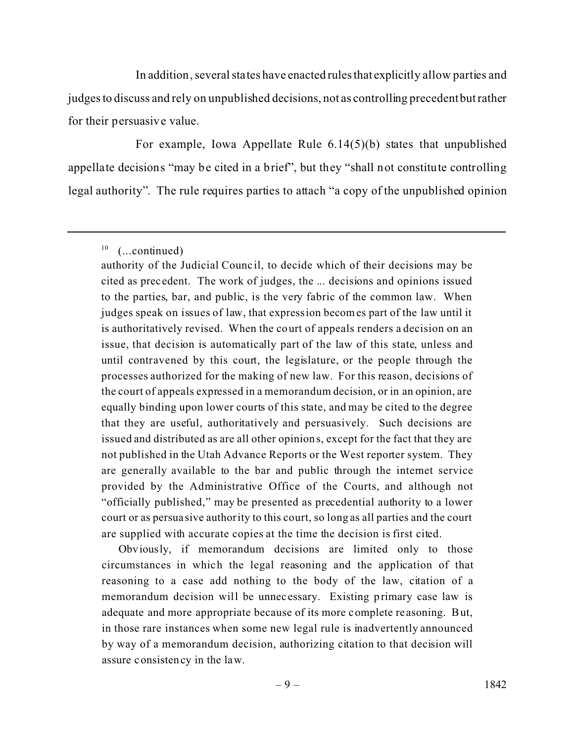In addition, several states have enacted rulesthat explicitly allow parties and judges to discuss and rely on unpublished decisions, not as controlling precedent but rather for their persuasive value.

For example, Iowa Appellate Rule 6.14(5)(b) states that unpublished appellate decisions "may be cited in a brief", but they "shall not constitute controlling legal authority". The rule requires parties to attach "a copy of the unpublished opinion

Obviously, if memorandum decisions are limited only to those circumstances in which the legal reasoning and the application of that reasoning to a case add nothing to the body of the law, citation of a memorandum decision will be unnec essary. Existing primary case law is adequate and more appropriate because of its more complete re asoning. But, in those rare instances when some new legal rule is inadvertently announced by way of a memorandum decision, authorizing citation to that decision will assure consistency in the law.

 $10$  (...continued)

authority of the Judicial Counc il, to decide which of their decisions may be cited as prec edent. The work of judges, the ... decisions and opinions issued to the parties, bar, and public, is the very fabric of the common law. When judges speak on issues of law, that expression becomes part of the law until it is authoritatively revised. When the court of appeals renders a decision on an issue, that decision is automatically part of the law of this state, unless and until contravened by this court, the legislature, or the people through the processes authorized for the making of new law. For this reason, decisions of the court of appeals expressed in a memorandum decision, or in an opinion, are equally binding upon lower courts of this state, and may be cited to the degree that they are useful, authoritatively and persuasively. Such decisions are issued and distributed as are all other opinions, except for the fact that they are not published in the Utah Advance Reports or the West reporter system. They are generally available to the bar and public through the internet service provided by the Administrative Office of the Courts, and although not "officially published," may be presented as precedential authority to a lower court or as persua sive authority to this court, so long as all parties and the court are supplied with accurate copies at the time the decision is first cited.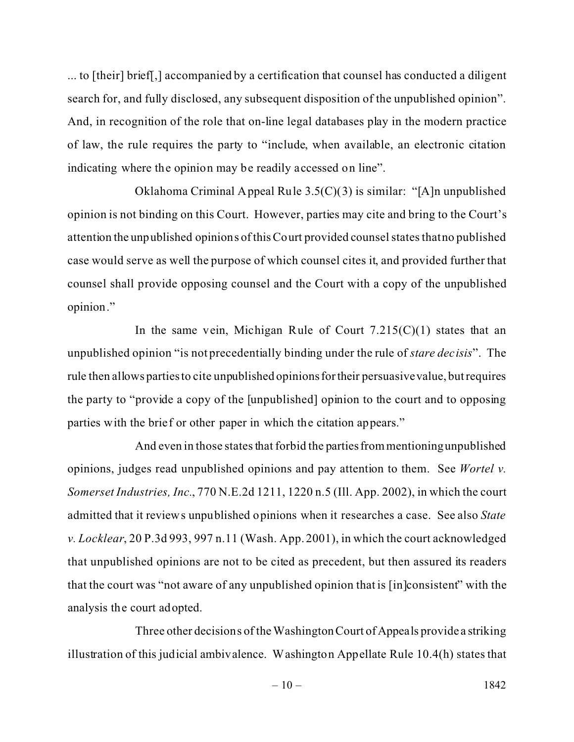... to [their] brief[,] accompanied by a certification that counsel has conducted a diligent search for, and fully disclosed, any subsequent disposition of the unpublished opinion". And, in recognition of the role that on-line legal databases play in the modern practice of law, the rule requires the party to "include, when available, an electronic citation indicating where the opinion may be readily accessed on line".

Oklahoma Criminal Appeal Rule 3.5(C)(3) is similar: "[A]n unpublished opinion is not binding on this Court. However, parties may cite and bring to the Court's attention the unpublished opinions of this Court provided counsel states that no published case would serve as well the purpose of which counsel cites it, and provided further that counsel shall provide opposing counsel and the Court with a copy of the unpublished opinion."

In the same vein, Michigan Rule of Court  $7.215(C)(1)$  states that an unpublished opinion "is not precedentially binding under the rule of *stare decisis*". The rule then allows parties to cite unpublished opinions for their persuasive value, but requires the party to "provide a copy of the [unpublished] opinion to the court and to opposing parties with the brief or other paper in which the citation appears."

And even in those states that forbid the parties from mentioning unpublished opinions, judges read unpublished opinions and pay attention to them. See *Wortel v. Somerset Industries, Inc.*, 770 N.E.2d 1211, 1220 n.5 (Ill. App. 2002), in which the court admitted that it reviews unpublished opinions when it researches a case. See also *State v. Locklear*, 20 P.3d 993, 997 n.11 (Wash. App. 2001), in which the court acknowledged that unpublished opinions are not to be cited as precedent, but then assured its readers that the court was "not aware of any unpublished opinion that is [in]consistent" with the analysis the court adopted.

Three other decisions of theWashingtonCourt of Appeals provide a striking illustration of this judicial ambivalence. Washington Appellate Rule 10.4(h) states that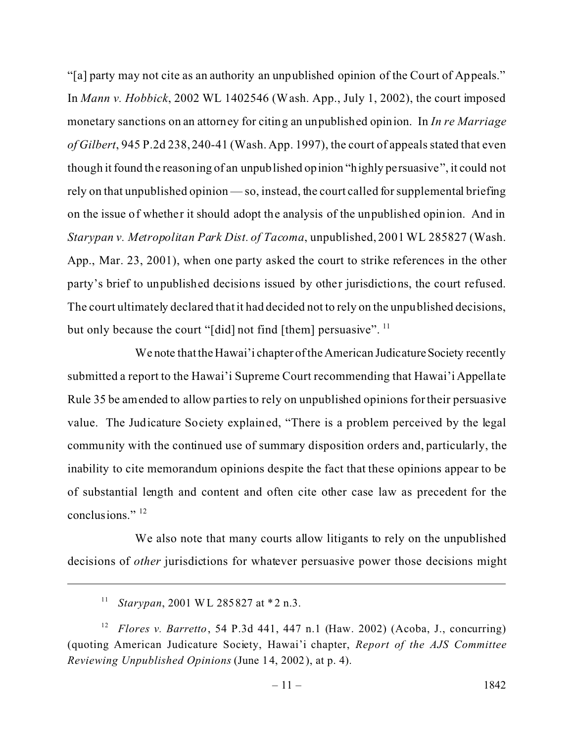"[a] party may not cite as an authority an unpublished opinion of the Court of Appeals." In *Mann v. Hobbick*, 2002 WL 1402546 (Wash. App., July 1, 2002), the court imposed monetary sanctions on an attorney for citing an unpublished opinion. In *In re Marriage of Gilbert*, 945 P.2d 238, 240-41 (Wash. App. 1997), the court of appeals stated that even though it found the reasoning of an unpublished opinion "highly persuasive", it could not rely on that unpublished opinion — so, instead, the court called for supplemental briefing on the issue of whether it should adopt the analysis of the unpublished opinion. And in *Starypan v. Metropolitan Park Dist. of Tacoma*, unpublished, 2001 WL 285827 (Wash. App., Mar. 23, 2001), when one party asked the court to strike references in the other party's brief to unpublished decisions issued by other jurisdictions, the court refused. The court ultimately declared that it had decided not to rely on the unpublished decisions, but only because the court "[did] not find [them] persuasive".  $^{11}$ 

We note that the Hawai'i chapter of the American Judicature Society recently submitted a report to the Hawai'i Supreme Court recommending that Hawai'i Appellate Rule 35 be amended to allow parties to rely on unpublished opinions for their persuasive value. The Judicature Society explained, "There is a problem perceived by the legal community with the continued use of summary disposition orders and, particularly, the inability to cite memorandum opinions despite the fact that these opinions appear to be of substantial length and content and often cite other case law as precedent for the conclusions."<sup>12</sup>

We also note that many courts allow litigants to rely on the unpublished decisions of *other* jurisdictions for whatever persuasive power those decisions might

<sup>11</sup> *Starypan*, 2001 WL 285827 at \*2 n.3.

<sup>12</sup> *Flores v. Barretto*, 54 P.3d 441, 447 n.1 (Haw. 2002) (Acoba, J., concurring) (quoting American Judicature Society, Hawai'i chapter, *Report of the AJS Committee Reviewing Unpublished Opinions* (June 14, 2002), at p. 4).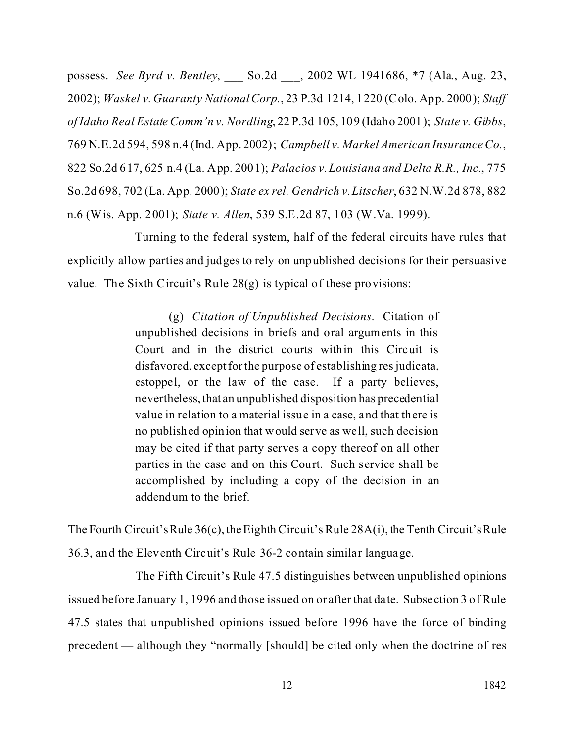possess. *See Byrd v. Bentley*, \_\_\_ So.2d \_\_\_, 2002 WL 1941686, \*7 (Ala., Aug. 23, 2002); *Waskel v. Guaranty National Corp.*, 23 P.3d 1214, 1220 (Colo. App. 2000); *Staff of Idaho Real Estate Comm'n v. Nordling*, 22 P.3d 105, 109 (Idaho 2001); *State v. Gibbs*, 769 N.E.2d 594, 598 n.4 (Ind. App. 2002); *Campbell v. Markel American Insurance Co.*, 822 So.2d 617, 625 n.4 (La. App. 2001); *Palacios v. Louisiana and Delta R.R., Inc.*, 775 So.2d 698, 702 (La. App. 2000); *State ex rel. Gendrich v. Litscher*, 632 N.W.2d 878, 882 n.6 (Wis. App. 2001); *State v. Allen*, 539 S.E.2d 87, 103 (W.Va. 1999).

Turning to the federal system, half of the federal circuits have rules that explicitly allow parties and judges to rely on unpublished decisions for their persuasive value. The Sixth Circuit's Rule 28(g) is typical of these provisions:

> (g) *Citation of Unpublished Decisions*. Citation of unpublished decisions in briefs and oral arguments in this Court and in the district courts within this Circuit is disfavored, exceptfor the purpose of establishing res judicata, estoppel, or the law of the case. If a party believes, nevertheless, that an unpublished disposition has precedential value in relation to a material issue in a case, and that there is no published opinion that would serve as well, such decision may be cited if that party serves a copy thereof on all other parties in the case and on this Court. Such service shall be accomplished by including a copy of the decision in an addendum to the brief.

The Fourth Circuit's Rule 36(c), the Eighth Circuit's Rule 28A(i), the Tenth Circuit's Rule 36.3, and the Eleventh Circuit's Rule 36-2 contain similar language.

The Fifth Circuit's Rule 47.5 distinguishes between unpublished opinions issued before January 1, 1996 and those issued on or after that date. Subsection 3 of Rule 47.5 states that unpublished opinions issued before 1996 have the force of binding precedent — although they "normally [should] be cited only when the doctrine of res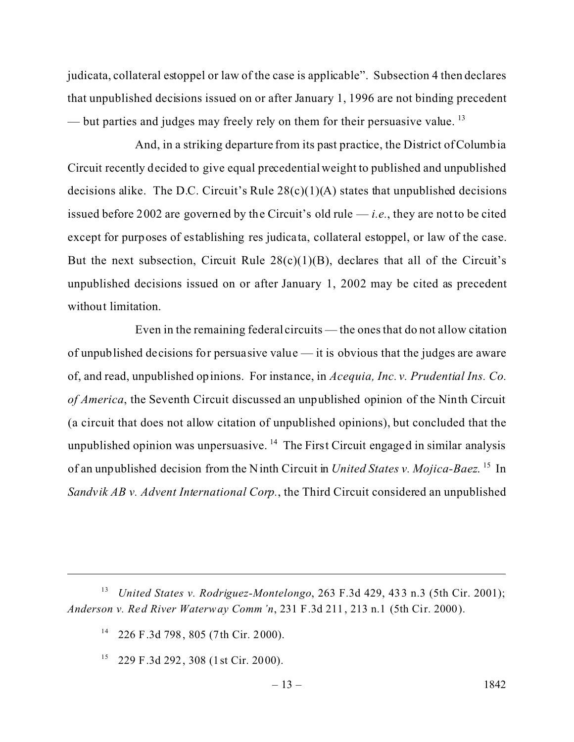judicata, collateral estoppel or law of the case is applicable". Subsection 4 then declares that unpublished decisions issued on or after January 1, 1996 are not binding precedent — but parties and judges may freely rely on them for their persuasive value.<sup>13</sup>

And, in a striking departure from its past practice, the District of Columbia Circuit recently decided to give equal precedential weight to published and unpublished decisions alike. The D.C. Circuit's Rule  $28(c)(1)(A)$  states that unpublished decisions issued before 2002 are governed by the Circuit's old rule  $-i.e.,$  they are not to be cited except for purposes of establishing res judicata, collateral estoppel, or law of the case. But the next subsection, Circuit Rule  $28(c)(1)(B)$ , declares that all of the Circuit's unpublished decisions issued on or after January 1, 2002 may be cited as precedent without limitation.

Even in the remaining federal circuits — the ones that do not allow citation of unpublished decisions for persuasive value — it is obvious that the judges are aware of, and read, unpublished opinions. For instance, in *Acequia, Inc. v. Prudential Ins. Co. of America*, the Seventh Circuit discussed an unpublished opinion of the Ninth Circuit (a circuit that does not allow citation of unpublished opinions), but concluded that the unpublished opinion was unpersuasive.  $14$  The First Circuit engaged in similar analysis of an unpublished decision from the Ninth Circuit in *United States v. Mojica-Baez*. <sup>15</sup> In *Sandvik AB v. Advent International Corp.*, the Third Circuit considered an unpublished

<sup>13</sup> *United States v. Rodriguez-Montelongo*, 263 F.3d 429, 433 n.3 (5th Cir. 2001); *Anderson v. Red River Waterway Comm'n*, 231 F.3d 211, 213 n.1 (5th Cir. 2000).

<sup>14</sup> 226 F.3d 798, 805 (7th Cir. 2000).

 $15$  229 F.3d 292, 308 (1 st Cir. 2000).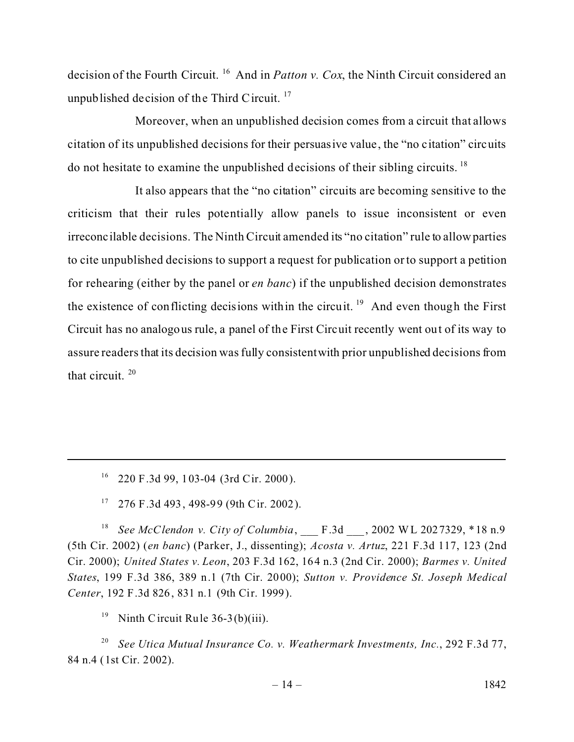decision of the Fourth Circuit. <sup>16</sup> And in *Patton v. Cox*, the Ninth Circuit considered an unpublished decision of the Third Circuit.  $17$ 

Moreover, when an unpublished decision comes from a circuit that allows citation of its unpublished decisions for their persuasive value, the "no citation" circuits do not hesitate to examine the unpublished decisions of their sibling circuits. <sup>18</sup>

It also appears that the "no citation" circuits are becoming sensitive to the criticism that their rules potentially allow panels to issue inconsistent or even irreconcilable decisions. The Ninth Circuit amended its "no citation" rule to allowparties to cite unpublished decisions to support a request for publication or to support a petition for rehearing (either by the panel or *en banc*) if the unpublished decision demonstrates the existence of conflicting decisions within the circuit.<sup>19</sup> And even though the First Circuit has no analogous rule, a panel of the First Circuit recently went out of its way to assure readers that its decision was fully consistentwith prior unpublished decisions from that circuit.  $20$ 

 $16$  220 F.3d 99, 103-04 (3rd Cir. 2000).

 $17$  276 F.3d 493, 498-99 (9th Cir. 2002).

<sup>18</sup> *See McClendon v. City of Columbia*, F.3d , 2002 WL 2027329, \*18 n.9 (5th Cir. 2002) (*en banc*) (Parker, J., dissenting); *Acosta v. Artuz*, 221 F.3d 117, 123 (2nd Cir. 2000); *United States v. Leon*, 203 F.3d 162, 164 n.3 (2nd Cir. 2000); *Barmes v. United States*, 199 F.3d 386, 389 n.1 (7th Cir. 2000); *Sutton v. Providence St. Joseph Medical Center*, 192 F.3d 826, 831 n.1 (9th Cir. 1999).

<sup>19</sup> Ninth Circuit Rule  $36-3(b)(iii)$ .

<sup>20</sup> *See Utica Mutual Insurance Co. v. Weathermark Investments, Inc.*, 292 F.3d 77, 84 n.4 (1st Cir. 2002).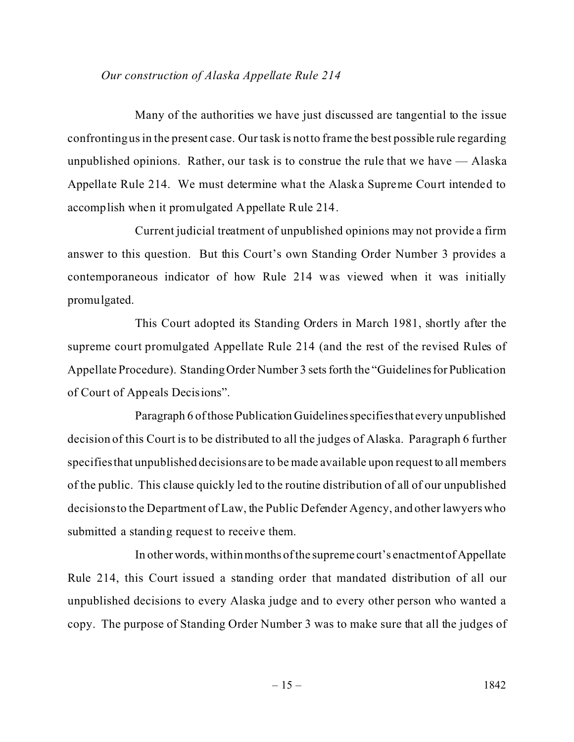## *Our construction of Alaska Appellate Rule 214*

Many of the authorities we have just discussed are tangential to the issue confronting us in the present case. Our task is not to frame the best possible rule regarding unpublished opinions. Rather, our task is to construe the rule that we have — Alaska Appellate Rule 214. We must determine what the Alaska Supreme Court intended to accomplish when it promulgated Appellate Rule 214.

Current judicial treatment of unpublished opinions may not provide a firm answer to this question. But this Court's own Standing Order Number 3 provides a contemporaneous indicator of how Rule 214 was viewed when it was initially promulgated.

This Court adopted its Standing Orders in March 1981, shortly after the supreme court promulgated Appellate Rule 214 (and the rest of the revised Rules of Appellate Procedure). Standing Order Number 3 sets forth the "Guidelines for Publication of Court of Appeals Decisions".

Paragraph 6 of those Publication Guidelines specifies that every unpublished decision of this Court is to be distributed to all the judges of Alaska. Paragraph 6 further specifies that unpublished decisions are to be made available upon request to all members of the public. This clause quickly led to the routine distribution of all of our unpublished decisions to the Department of Law, the Public Defender Agency, and other lawyers who submitted a standing request to receive them.

In other words, within months of the supreme court's enactment of Appellate Rule 214, this Court issued a standing order that mandated distribution of all our unpublished decisions to every Alaska judge and to every other person who wanted a copy. The purpose of Standing Order Number 3 was to make sure that all the judges of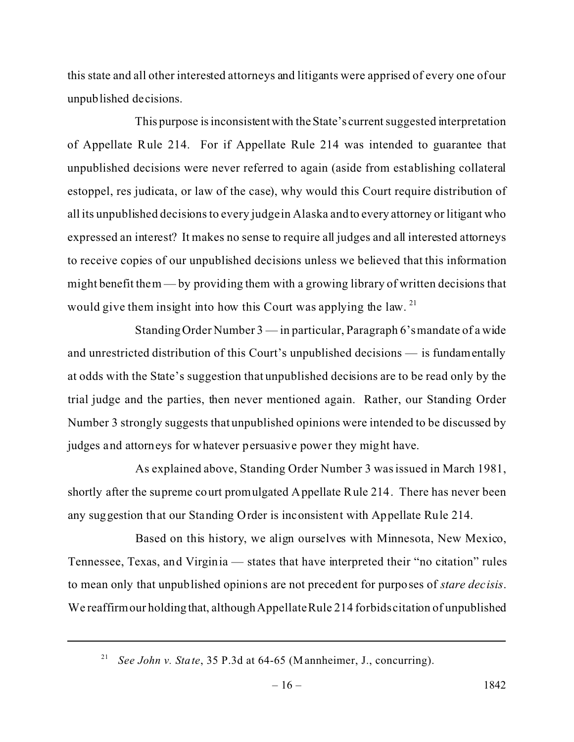this state and all other interested attorneys and litigants were apprised of every one of our unpublished decisions.

This purpose is inconsistent with the State's current suggested interpretation of Appellate Rule 214. For if Appellate Rule 214 was intended to guarantee that unpublished decisions were never referred to again (aside from establishing collateral estoppel, res judicata, or law of the case), why would this Court require distribution of all its unpublished decisions to every judge in Alaska and to every attorney or litigant who expressed an interest? It makes no sense to require all judges and all interested attorneys to receive copies of our unpublished decisions unless we believed that this information might benefit them — by providing them with a growing library of written decisions that would give them insight into how this Court was applying the law. <sup>21</sup>

Standing Order Number 3 — in particular, Paragraph 6's mandate of a wide and unrestricted distribution of this Court's unpublished decisions — is fundamentally at odds with the State's suggestion that unpublished decisions are to be read only by the trial judge and the parties, then never mentioned again. Rather, our Standing Order Number 3 strongly suggests that unpublished opinions were intended to be discussed by judges and attorneys for whatever persuasive power they might have.

As explained above, Standing Order Number 3 was issued in March 1981, shortly after the supreme court promulgated Appellate Rule 214. There has never been any suggestion that our Standing Order is inconsistent with Appellate Rule 214.

Based on this history, we align ourselves with Minnesota, New Mexico, Tennessee, Texas, and Virginia — states that have interpreted their "no citation" rules to mean only that unpublished opinions are not precedent for purposes of *stare decisis*. We reaffirm our holding that, although Appellate Rule 214 forbids citation of unpublished

<sup>21</sup> *See John v. State*, 35 P.3d at 64-65 (Mannheimer, J., concurring).